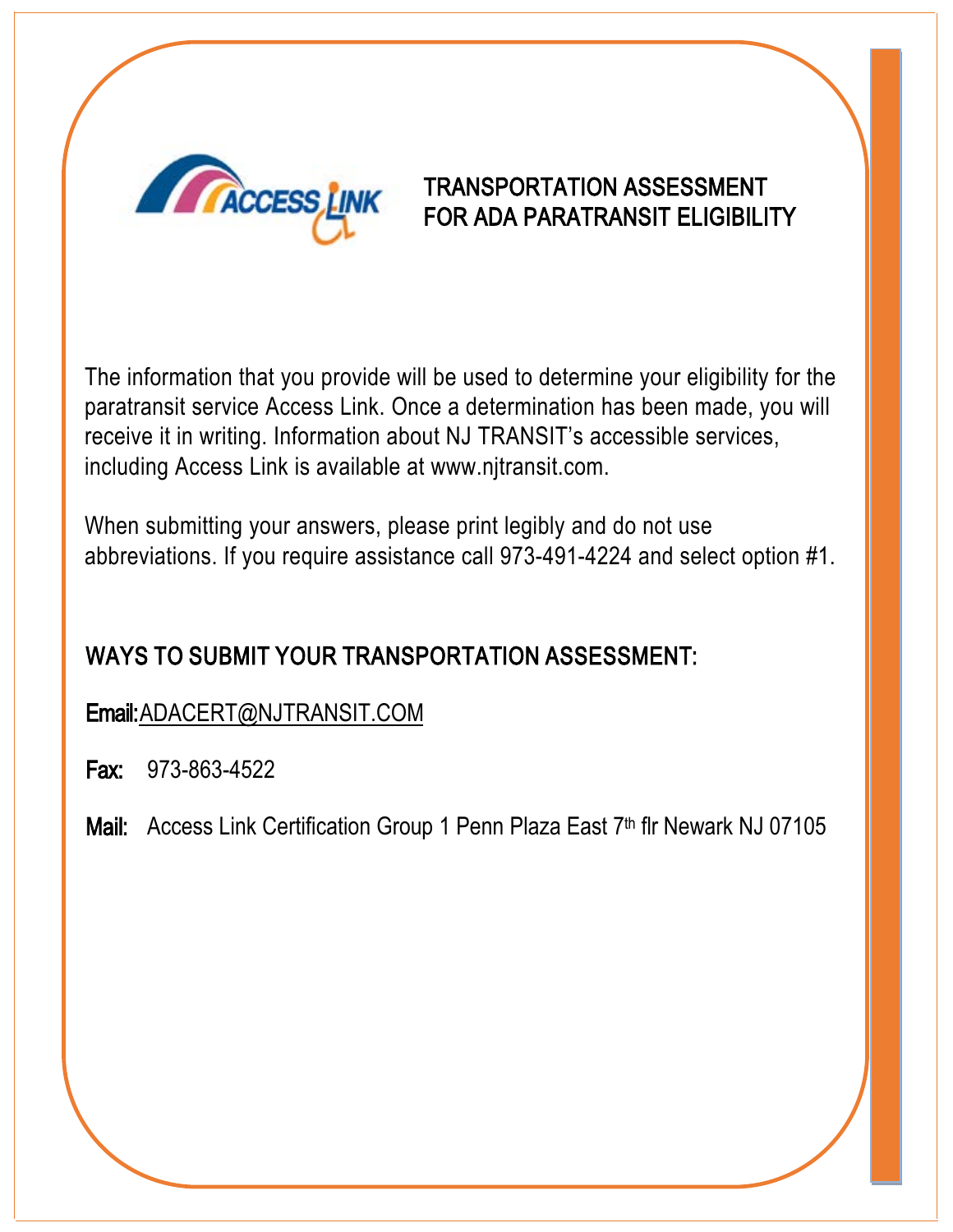

## TRANSPORTATION ASSESSMENT FOR ADA PARATRANSIT ELIGIBILITY

The information that you provide will be used to determine your eligibility for the paratransit service Access Link. Once a determination has been made, you will receive it in writing. Information about NJ TRANSIT's accessible services, including Access Link is available at www.njtransit.com.

When su[bmitting your answers, ple](http://www.njtransit.com/)ase print legibly and do not use abbreviations. If you require assistance call 973-491-4224 and select option #1.

# WAYS TO SUBMIT YOUR TRANSPORTATION ASSESSMENT:

Email:ADACERT@NJTRANSIT.COM

Fax: 973-863-4522

Mail: Access Link Certification Group 1 Penn Plaza East 7th flr Newark NJ 07105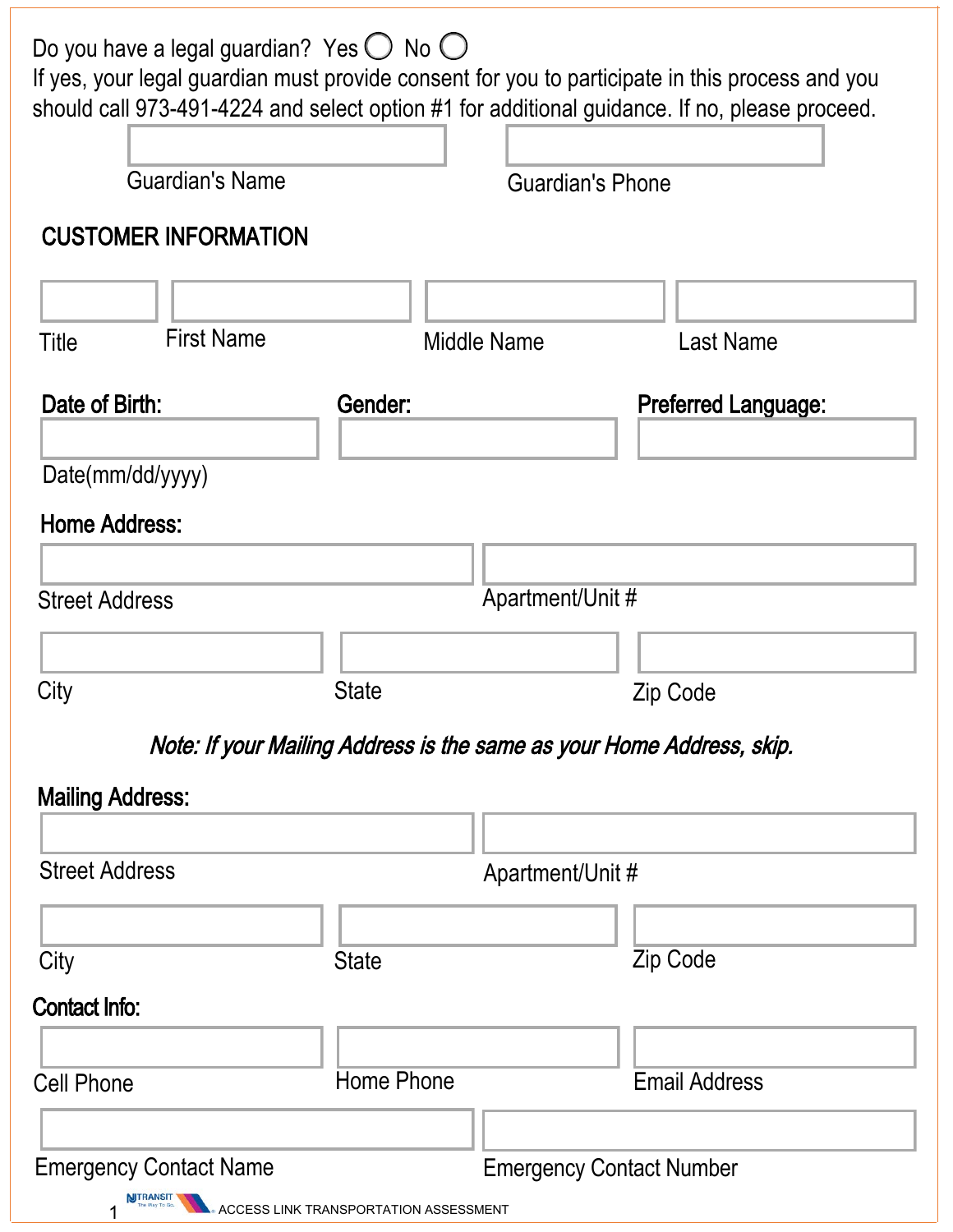| Do you have a legal guardian? Yes $\bigcirc$ No $\bigcirc$<br>If yes, your legal guardian must provide consent for you to participate in this process and you<br>should call 973-491-4224 and select option #1 for additional guidance. If no, please proceed. |                                       |                         |                                 |  |
|----------------------------------------------------------------------------------------------------------------------------------------------------------------------------------------------------------------------------------------------------------------|---------------------------------------|-------------------------|---------------------------------|--|
| <b>Guardian's Name</b>                                                                                                                                                                                                                                         |                                       | <b>Guardian's Phone</b> |                                 |  |
| <b>CUSTOMER INFORMATION</b>                                                                                                                                                                                                                                    |                                       |                         |                                 |  |
|                                                                                                                                                                                                                                                                |                                       |                         |                                 |  |
| <b>First Name</b><br><b>Title</b>                                                                                                                                                                                                                              |                                       | <b>Middle Name</b>      | <b>Last Name</b>                |  |
| Date of Birth:                                                                                                                                                                                                                                                 | Gender:                               |                         | <b>Preferred Language:</b>      |  |
| Date(mm/dd/yyyy)                                                                                                                                                                                                                                               |                                       |                         |                                 |  |
| <b>Home Address:</b>                                                                                                                                                                                                                                           |                                       |                         |                                 |  |
|                                                                                                                                                                                                                                                                |                                       |                         |                                 |  |
| <b>Street Address</b>                                                                                                                                                                                                                                          |                                       | Apartment/Unit #        |                                 |  |
| City                                                                                                                                                                                                                                                           | <b>State</b>                          |                         | Zip Code                        |  |
|                                                                                                                                                                                                                                                                |                                       |                         |                                 |  |
| Note: If your Mailing Address is the same as your Home Address, skip.                                                                                                                                                                                          |                                       |                         |                                 |  |
| <b>Mailing Address:</b>                                                                                                                                                                                                                                        |                                       |                         |                                 |  |
| <b>Street Address</b>                                                                                                                                                                                                                                          |                                       | Apartment/Unit #        |                                 |  |
|                                                                                                                                                                                                                                                                |                                       |                         |                                 |  |
| City                                                                                                                                                                                                                                                           | <b>State</b>                          |                         | Zip Code                        |  |
| <b>Contact Info:</b>                                                                                                                                                                                                                                           |                                       |                         |                                 |  |
|                                                                                                                                                                                                                                                                |                                       |                         |                                 |  |
| <b>Cell Phone</b>                                                                                                                                                                                                                                              | Home Phone                            |                         | <b>Email Address</b>            |  |
|                                                                                                                                                                                                                                                                |                                       |                         |                                 |  |
| <b>Emergency Contact Name</b><br><b>NITRANSIT</b>                                                                                                                                                                                                              |                                       |                         | <b>Emergency Contact Number</b> |  |
|                                                                                                                                                                                                                                                                | ACCESS LINK TRANSPORTATION ASSESSMENT |                         |                                 |  |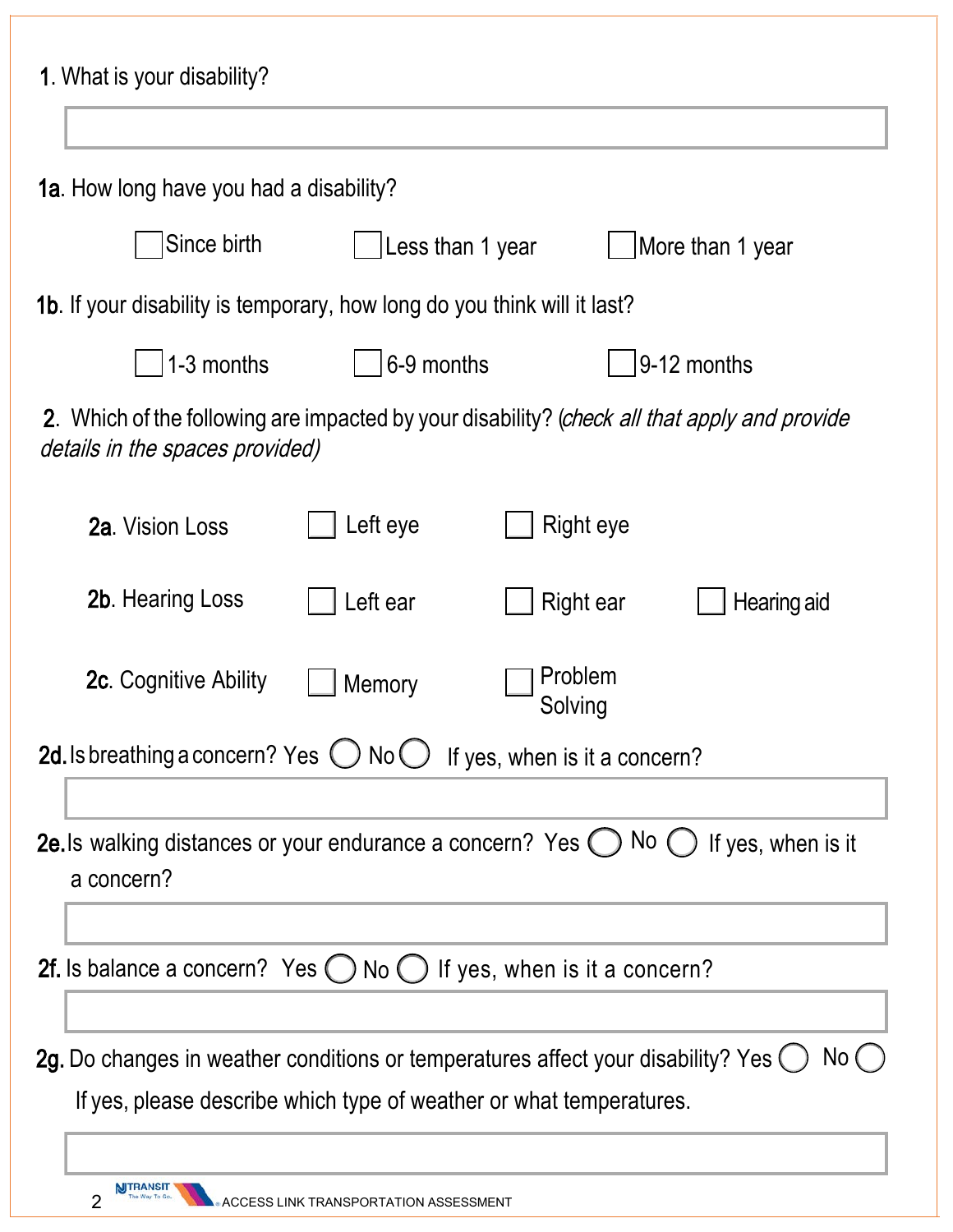| 1. What is your disability?                                                                                                                               |                                       |                    |                    |
|-----------------------------------------------------------------------------------------------------------------------------------------------------------|---------------------------------------|--------------------|--------------------|
| 1a. How long have you had a disability?                                                                                                                   |                                       |                    |                    |
| Since birth                                                                                                                                               | Less than 1 year<br>More than 1 year  |                    |                    |
| 1b. If your disability is temporary, how long do you think will it last?                                                                                  |                                       |                    |                    |
| 1-3 months                                                                                                                                                | 6-9 months                            |                    | 9-12 months        |
| 2. Which of the following are impacted by your disability? (check all that apply and provide<br>details in the spaces provided)                           |                                       |                    |                    |
| 2a. Vision Loss                                                                                                                                           | Left eye                              | Right eye          |                    |
| <b>2b.</b> Hearing Loss                                                                                                                                   | Left ear                              | Right ear          | Hearing aid        |
| <b>2c.</b> Cognitive Ability                                                                                                                              | Memory                                | Problem<br>Solving |                    |
| 2d. Is breathing a concern? Yes $\bigcirc$ No $\bigcirc$ If yes, when is it a concern?                                                                    |                                       |                    |                    |
|                                                                                                                                                           |                                       |                    |                    |
| 2e. Is walking distances or your endurance a concern? Yes $\bigcirc$ No $\bigcirc$<br>a concern?                                                          |                                       |                    | If yes, when is it |
| 2f. Is balance a concern? Yes $\bigcirc$ No $\bigcirc$ If yes, when is it a concern?                                                                      |                                       |                    |                    |
|                                                                                                                                                           |                                       |                    |                    |
| 2g. Do changes in weather conditions or temperatures affect your disability? Yes (<br>If yes, please describe which type of weather or what temperatures. |                                       |                    | No (               |
| 2                                                                                                                                                         | ACCESS LINK TRANSPORTATION ASSESSMENT |                    |                    |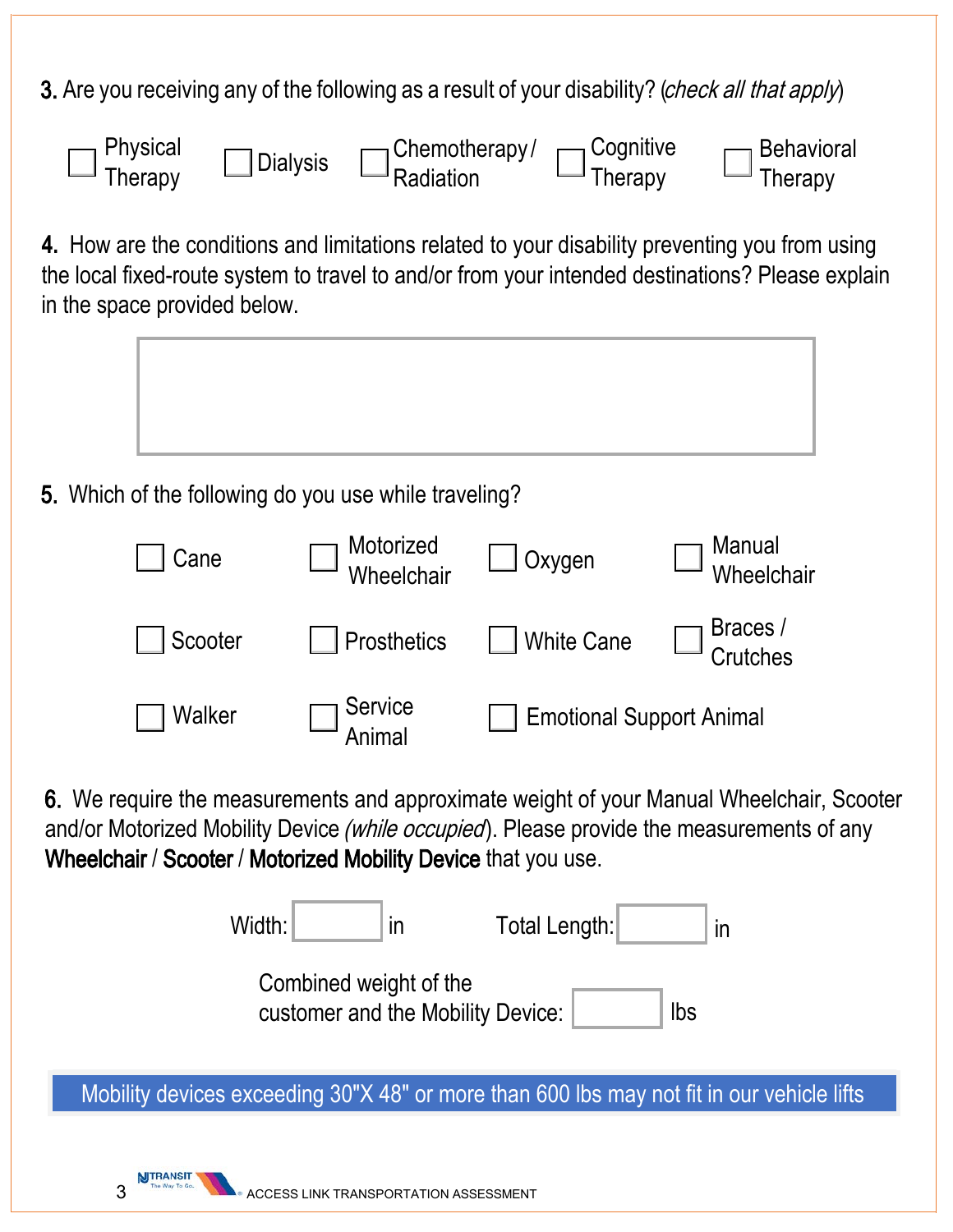3. Are you receiving any of the following as a result of your disability? (*check all that apply*)



**4.** How are the conditions and limitations related to your disability preventing you from using the local fixed-route system to travel to and/or from your intended destinations? Please explain in the space provided below.



5. Which of the following do you use while traveling?

| Cane    | Motorized<br>Wheelchair | Oxygen                          | Manual<br>Wheelchair |
|---------|-------------------------|---------------------------------|----------------------|
| Scooter | <b>Prosthetics</b>      | <b>White Cane</b>               | Braces /<br>Crutches |
| Walker  | Service<br>Animal       | <b>Emotional Support Animal</b> |                      |

6. We require the measurements and approximate weight of your Manual Wheelchair, Scooter and/or Motorized Mobility Device (while occupied). Please provide the measurements of any Wheelchair / Scooter / Motorized Mobility Device that you use.

| Width:                                                      | $\overline{\mathsf{I}}$ | Total Length: | $\overline{m}$ |
|-------------------------------------------------------------|-------------------------|---------------|----------------|
| Combined weight of the<br>customer and the Mobility Device: |                         |               | lbs            |

Mobility devices exceeding 30"X 48" or more than 600 lbs may not fit in our vehicle lifts

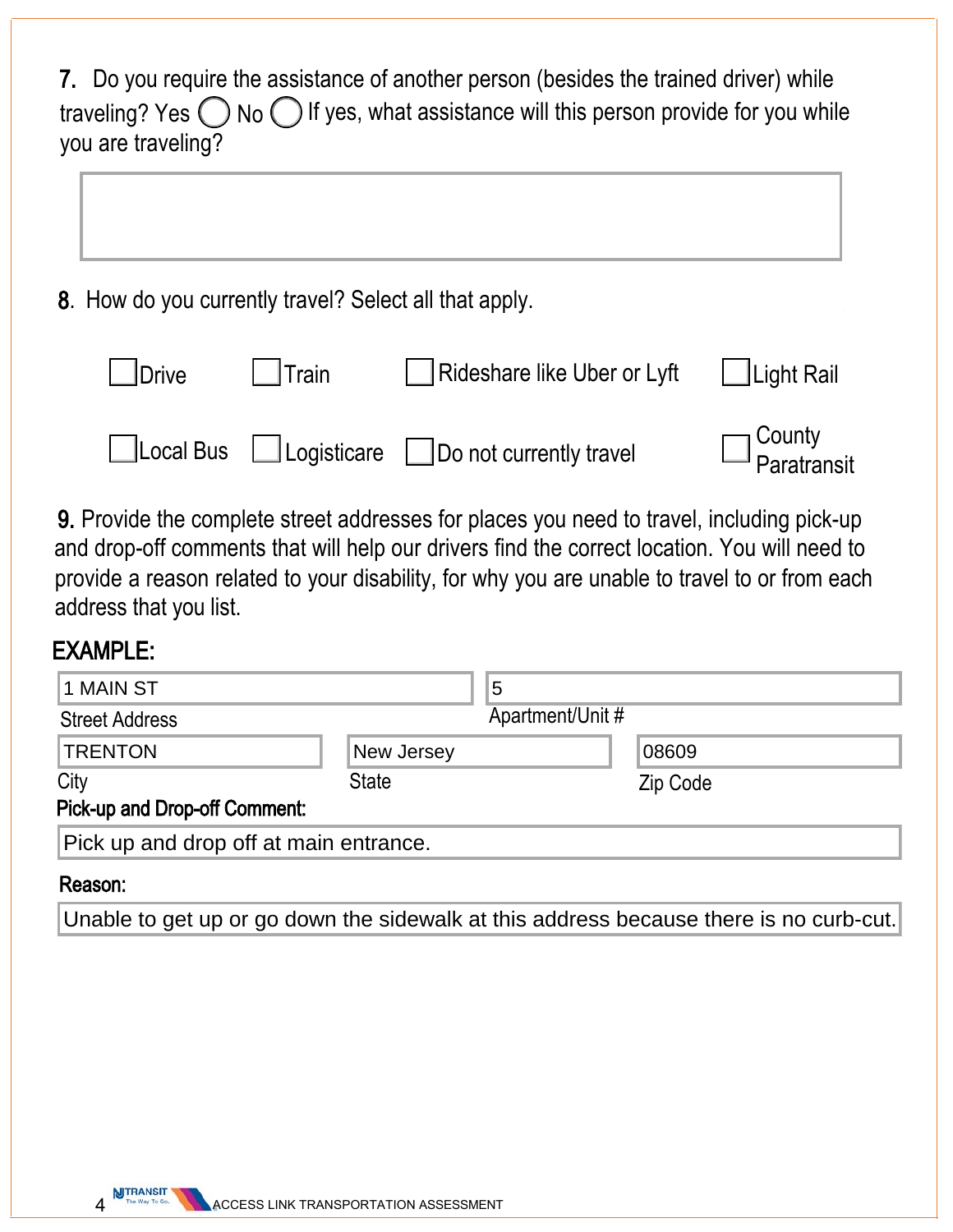| 7. Do you require the assistance of another person (besides the trained driver) while                  |
|--------------------------------------------------------------------------------------------------------|
| traveling? Yes $\bigcirc$ No $\bigcirc$ If yes, what assistance will this person provide for you while |
| you are traveling?                                                                                     |

8. How do you currently travel? Select all that apply.

| <b>L</b> Drive | Train | Rideshare like Uber or Lyft                        | $\Box$ Light Rail               |
|----------------|-------|----------------------------------------------------|---------------------------------|
|                |       | □Local Bus □ Logisticare □ Do not currently travel | $\square$ County<br>Paratransit |

9. Provide the complete street addresses for places you need to travel, including pick-up and drop-off comments that will help our drivers find the correct location. You will need to provide a reason related to your disability, for why you are unable to travel to or from each address that you list.

### EXAMPLE:

| 1 MAIN ST                              |  | 5                |  |
|----------------------------------------|--|------------------|--|
| <b>Street Address</b>                  |  | Apartment/Unit # |  |
| <b>New Jersey</b>                      |  | 08609            |  |
| <b>State</b>                           |  | Zip Code         |  |
|                                        |  |                  |  |
| Pick up and drop off at main entrance. |  |                  |  |
|                                        |  |                  |  |

#### Reason:

Unable to get up or go down the sidewalk at this address because there is no curb-cut.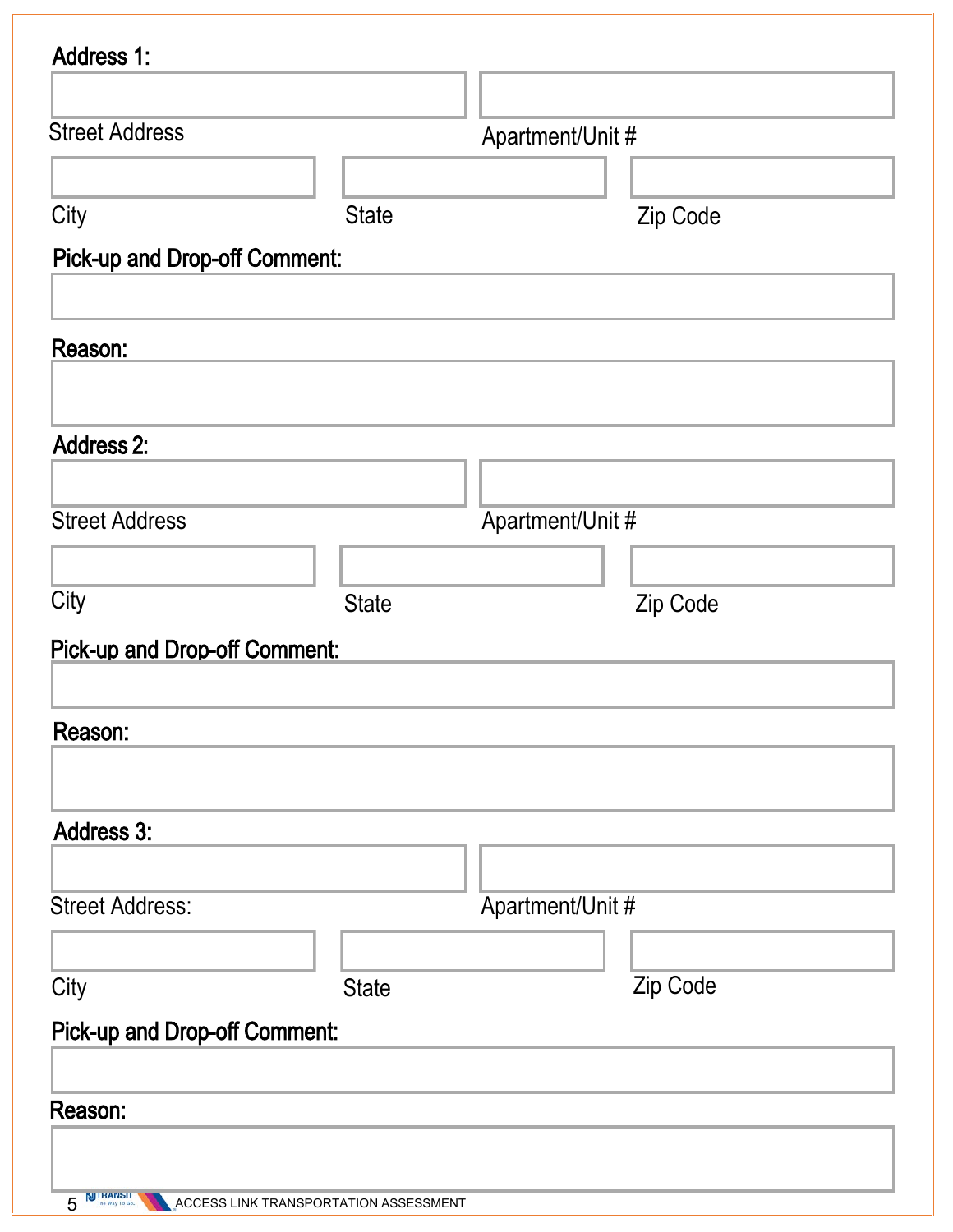| <b>Address 1:</b>                    |              |                  |          |
|--------------------------------------|--------------|------------------|----------|
|                                      |              |                  |          |
| <b>Street Address</b>                |              | Apartment/Unit # |          |
|                                      |              |                  |          |
| City                                 | <b>State</b> |                  | Zip Code |
| <b>Pick-up and Drop-off Comment:</b> |              |                  |          |
| Reason:                              |              |                  |          |
| <b>Address 2:</b>                    |              |                  |          |
|                                      |              |                  |          |
| <b>Street Address</b>                |              | Apartment/Unit # |          |
|                                      |              |                  |          |
| City                                 | <b>State</b> |                  | Zip Code |
| <b>Pick-up and Drop-off Comment:</b> |              |                  |          |
| Reason:                              |              |                  |          |
| <b>Address 3:</b>                    |              |                  |          |
|                                      |              |                  |          |
| <b>Street Address:</b>               |              | Apartment/Unit # |          |
|                                      |              |                  |          |
| City                                 | <b>State</b> |                  | Zip Code |
| <b>Pick-up and Drop-off Comment:</b> |              |                  |          |
| Reason:                              |              |                  |          |
|                                      |              |                  |          |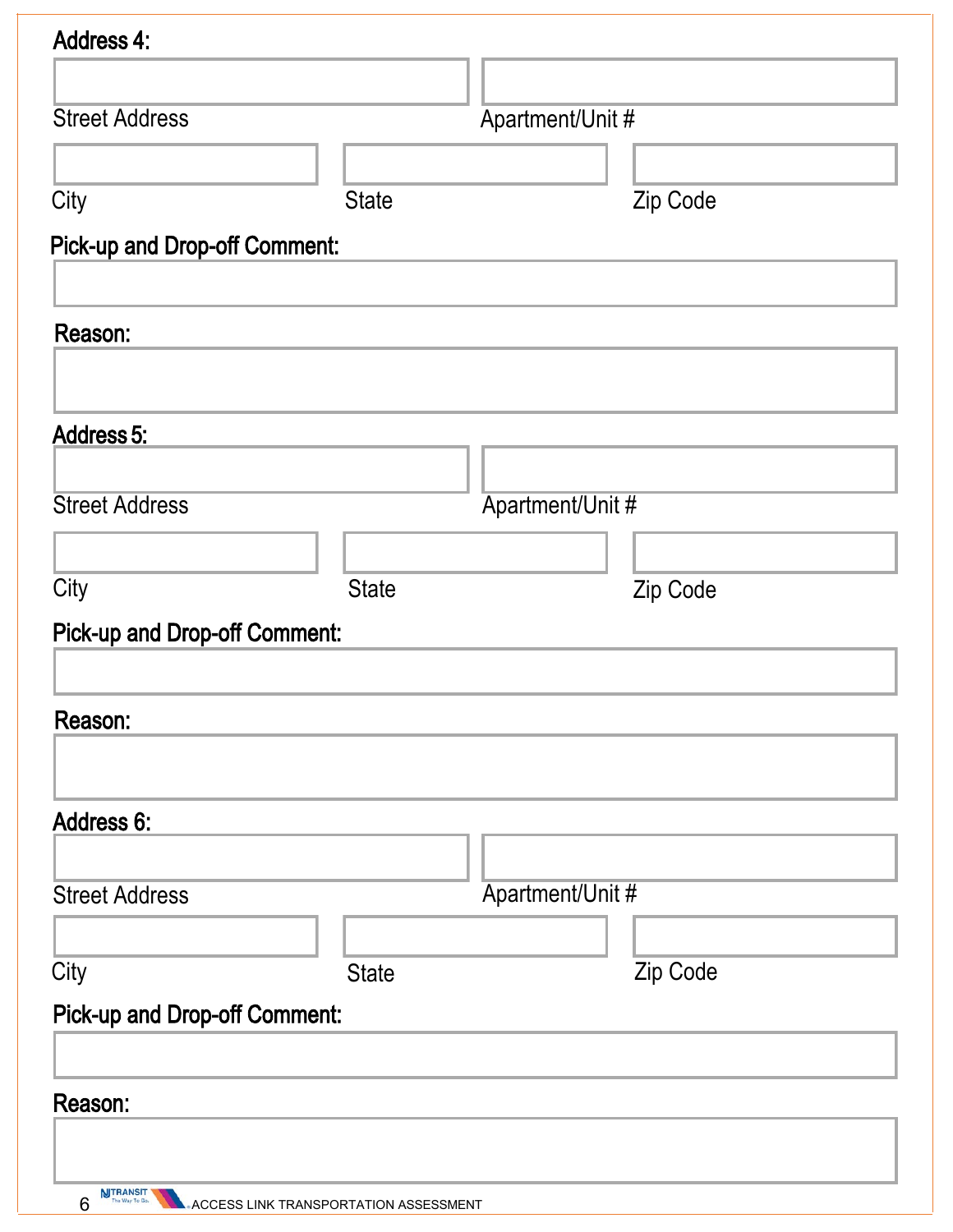| <b>Address 4:</b>                    |              |                  |          |
|--------------------------------------|--------------|------------------|----------|
|                                      |              |                  |          |
| <b>Street Address</b>                |              | Apartment/Unit # |          |
|                                      |              |                  |          |
| City                                 | <b>State</b> |                  | Zip Code |
|                                      |              |                  |          |
| <b>Pick-up and Drop-off Comment:</b> |              |                  |          |
|                                      |              |                  |          |
| Reason:                              |              |                  |          |
|                                      |              |                  |          |
| <b>Address 5:</b>                    |              |                  |          |
|                                      |              |                  |          |
| <b>Street Address</b>                |              | Apartment/Unit # |          |
|                                      |              |                  |          |
| City                                 | <b>State</b> |                  | Zip Code |
| <b>Pick-up and Drop-off Comment:</b> |              |                  |          |
|                                      |              |                  |          |
|                                      |              |                  |          |
| Reason:                              |              |                  |          |
|                                      |              |                  |          |
| <b>Address 6:</b>                    |              |                  |          |
|                                      |              |                  |          |
| <b>Street Address</b>                |              | Apartment/Unit # |          |
|                                      |              |                  |          |
| City                                 | <b>State</b> |                  | Zip Code |
| <b>Pick-up and Drop-off Comment:</b> |              |                  |          |
|                                      |              |                  |          |
|                                      |              |                  |          |
| Reason:                              |              |                  |          |
|                                      |              |                  |          |
| <b>AIITRANSIT</b>                    |              |                  |          |

**<sup>6</sup>** MTRANSIT ACCESS LINK TRANSPORTATION ASSESSMENT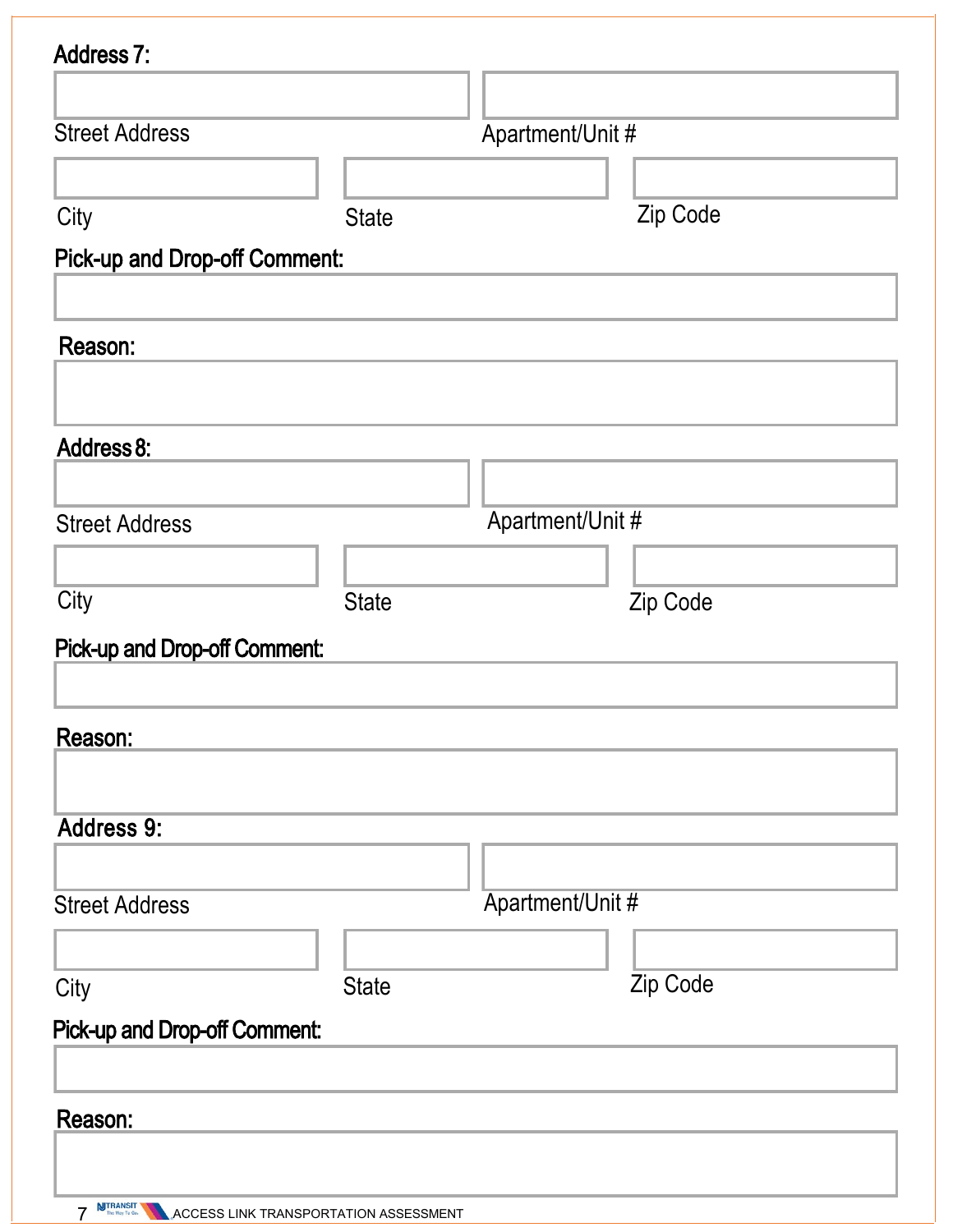| <b>Address 7:</b>                    |              |                  |          |
|--------------------------------------|--------------|------------------|----------|
|                                      |              |                  |          |
| <b>Street Address</b>                |              | Apartment/Unit # |          |
|                                      |              |                  |          |
| City                                 | <b>State</b> |                  | Zip Code |
| <b>Pick-up and Drop-off Comment:</b> |              |                  |          |
|                                      |              |                  |          |
| Reason:                              |              |                  |          |
|                                      |              |                  |          |
| Address 8:                           |              |                  |          |
|                                      |              |                  |          |
| <b>Street Address</b>                |              | Apartment/Unit # |          |
| City                                 | <b>State</b> |                  | Zip Code |
|                                      |              |                  |          |
| <b>Pick-up and Drop-off Comment:</b> |              |                  |          |
| Reason:                              |              |                  |          |
|                                      |              |                  |          |
| <b>Address 9:</b>                    |              |                  |          |
| <b>Street Address</b>                |              | Apartment/Unit # |          |
|                                      |              |                  |          |
| City                                 | <b>State</b> |                  | Zip Code |
| <b>Pick-up and Drop-off Comment:</b> |              |                  |          |
|                                      |              |                  |          |
| Reason:                              |              |                  |          |
|                                      |              |                  |          |
|                                      |              |                  |          |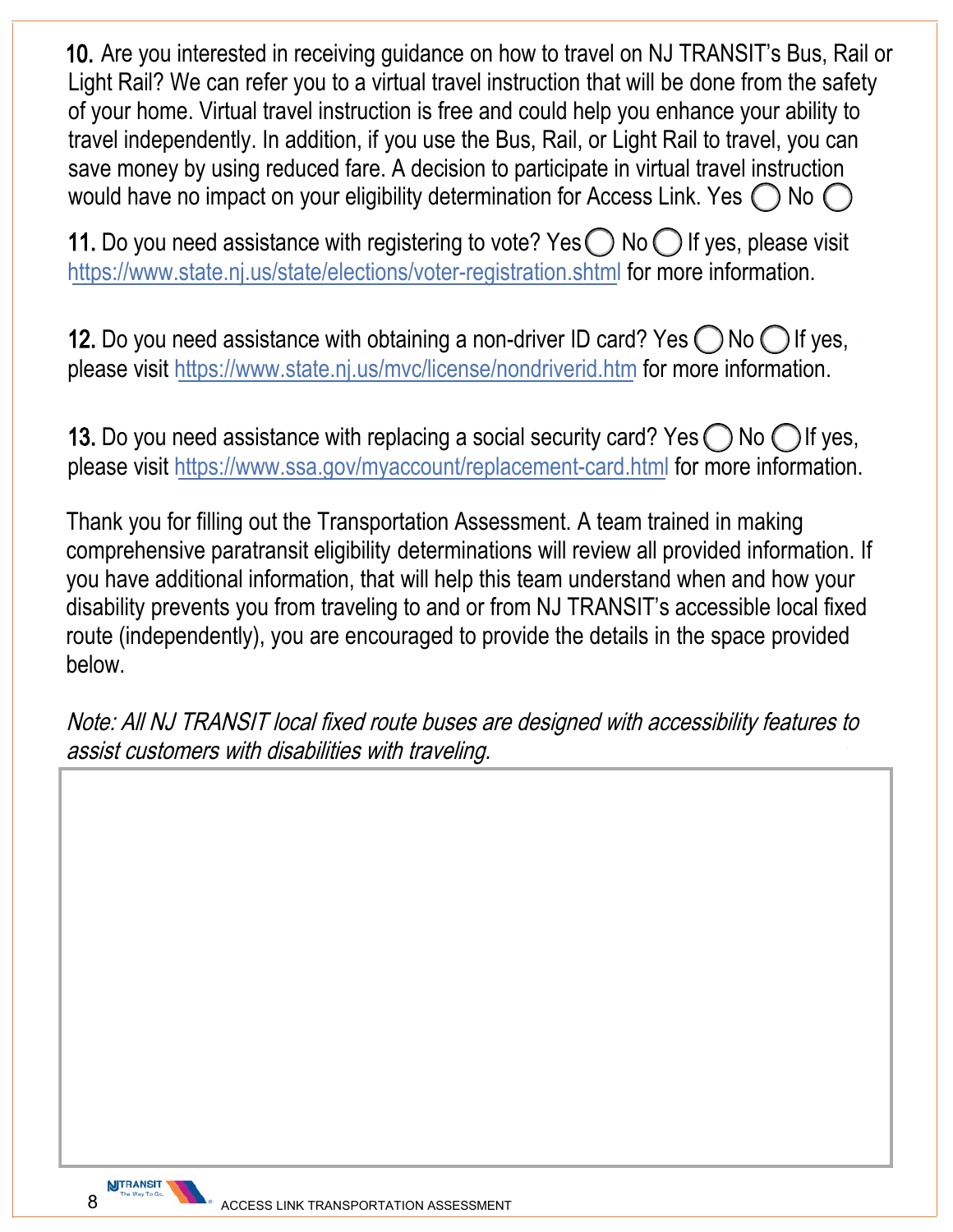10. Are you interested in receiving guidance on how to travel on NJ TRANSIT's Bus, Rail or Light Rail? We can refer you to a virtual travel instruction that will be done from the safety of your home. Virtual travel instruction is free and could help you enhance your ability to travel independently. In addition, if you use the Bus, Rail, or Light Rail to travel, you can save money by using reduced fare. A decision to participate in virtual travel instruction would have no impact on your eligibility determination for Access Link. Yes  $\bigcap$  No (

11. Do you need assistance with registering to vote? Yes  $\bigcirc$  No  $\bigcirc$  If yes, please visit https://www.state.nj.us/state/elections/voter-registration.shtml for more information.

**12.** Do you need assistance with obtaining a non-driver ID card? Yes  $\bigcirc$  No  $\bigcirc$  If yes, please visit https://www.state.nj.us/mvc/license/nondriverid.htm for more information.

13. Do you need assistance with replacing a social security card? Yes  $\bigcirc$  No  $\bigcirc$  If yes, please visit https://www.ssa.gov/myaccount/replacement-card.html for more information.

Thank you for filling out the Transportation Assessment. A team trained in making comprehensive paratransit eligibility determinations will review all provided information. If you have additional information, that will help this team understand when and how your disability prevents you from traveling to and or from NJ TRANSIT's accessible local fixed route (independently), you are encouraged to provide the details in the space provided below.

Note: All NJ TRANSIT local fixed route buses are designed with accessibility features to assist customers with disabilities with traveling.

**NJTRANSIT**